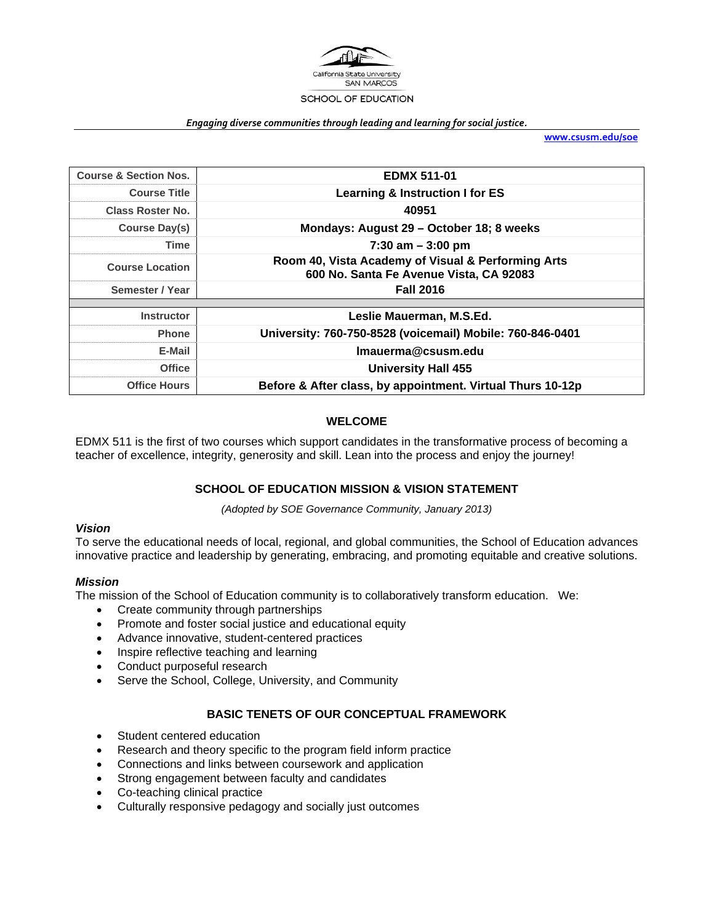

#### *Engaging diverse communities through leading and learning for social justice.*

**www.csusm.edu/soe**

| <b>Course &amp; Section Nos.</b> | <b>EDMX 511-01</b>                                                                            |  |
|----------------------------------|-----------------------------------------------------------------------------------------------|--|
| <b>Course Title</b>              | Learning & Instruction I for ES                                                               |  |
| Class Roster No.                 | 40951                                                                                         |  |
| Course Day(s)                    | Mondays: August 29 - October 18; 8 weeks                                                      |  |
| Time                             | $7:30$ am $-3:00$ pm                                                                          |  |
| <b>Course Location</b>           | Room 40, Vista Academy of Visual & Performing Arts<br>600 No. Santa Fe Avenue Vista, CA 92083 |  |
| Semester / Year                  | <b>Fall 2016</b>                                                                              |  |
|                                  |                                                                                               |  |
| <b>Instructor</b>                | Leslie Mauerman, M.S.Ed.                                                                      |  |
| <b>Phone</b>                     | University: 760-750-8528 (voicemail) Mobile: 760-846-0401                                     |  |
| E-Mail                           | Imauerma@csusm.edu                                                                            |  |
| <b>Office</b>                    | <b>University Hall 455</b>                                                                    |  |
| <b>Office Hours</b>              | Before & After class, by appointment. Virtual Thurs 10-12p                                    |  |

# **WELCOME**

EDMX 511 is the first of two courses which support candidates in the transformative process of becoming a teacher of excellence, integrity, generosity and skill. Lean into the process and enjoy the journey!

### **SCHOOL OF EDUCATION MISSION & VISION STATEMENT**

*(Adopted by SOE Governance Community, January 2013)* 

### *Vision*

To serve the educational needs of local, regional, and global communities, the School of Education advances innovative practice and leadership by generating, embracing, and promoting equitable and creative solutions.

### *Mission*

The mission of the School of Education community is to collaboratively transform education. We:

- Create community through partnerships
- Promote and foster social justice and educational equity
- Advance innovative, student-centered practices
- Inspire reflective teaching and learning
- Conduct purposeful research
- Serve the School, College, University, and Community

# **BASIC TENETS OF OUR CONCEPTUAL FRAMEWORK**

- Student centered education
- Research and theory specific to the program field inform practice
- Connections and links between coursework and application
- Strong engagement between faculty and candidates
- Co-teaching clinical practice
- Culturally responsive pedagogy and socially just outcomes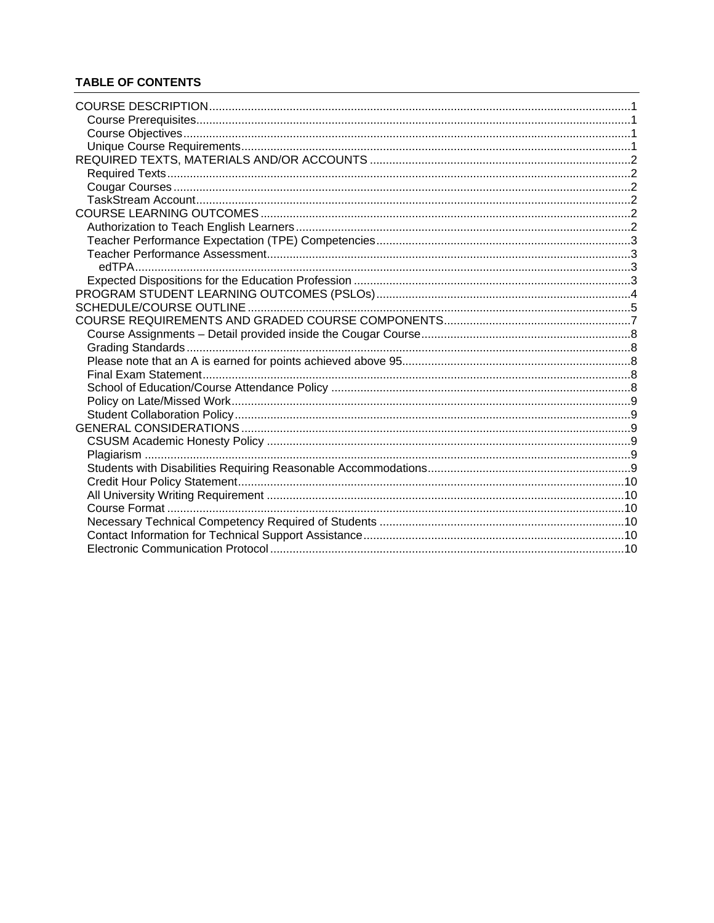# **TABLE OF CONTENTS**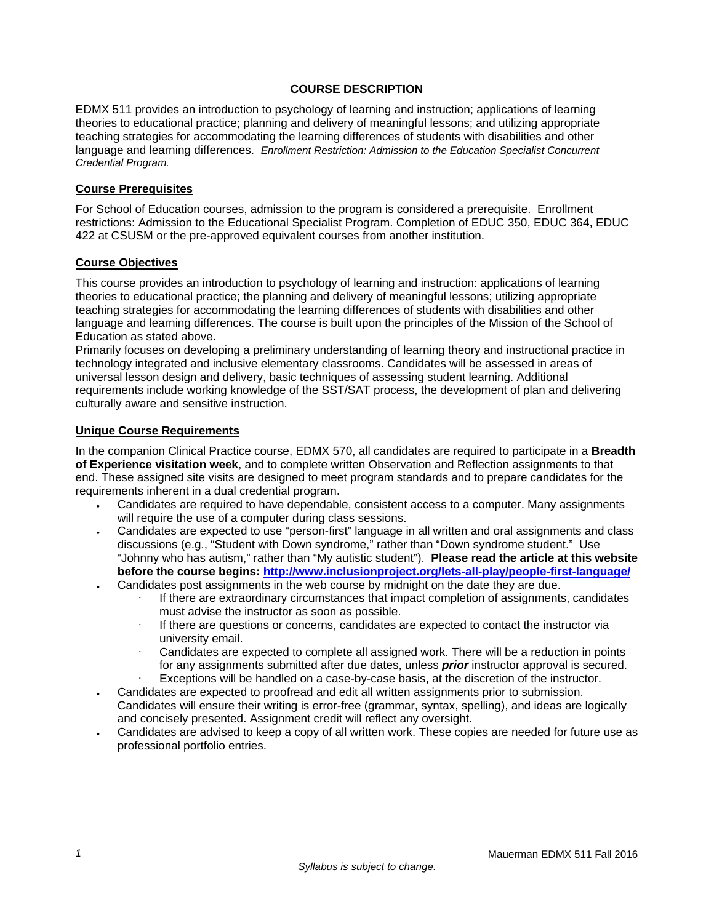### **COURSE DESCRIPTION**

EDMX 511 provides an introduction to psychology of learning and instruction; applications of learning theories to educational practice; planning and delivery of meaningful lessons; and utilizing appropriate teaching strategies for accommodating the learning differences of students with disabilities and other language and learning differences. *Enrollment Restriction: Admission to the Education Specialist Concurrent Credential Program.* 

### **Course Prerequisites**

For School of Education courses, admission to the program is considered a prerequisite. Enrollment restrictions: Admission to the Educational Specialist Program. Completion of EDUC 350, EDUC 364, EDUC 422 at CSUSM or the pre-approved equivalent courses from another institution.

### **Course Objectives**

This course provides an introduction to psychology of learning and instruction: applications of learning theories to educational practice; the planning and delivery of meaningful lessons; utilizing appropriate teaching strategies for accommodating the learning differences of students with disabilities and other language and learning differences. The course is built upon the principles of the Mission of the School of Education as stated above.

Primarily focuses on developing a preliminary understanding of learning theory and instructional practice in technology integrated and inclusive elementary classrooms. Candidates will be assessed in areas of universal lesson design and delivery, basic techniques of assessing student learning. Additional requirements include working knowledge of the SST/SAT process, the development of plan and delivering culturally aware and sensitive instruction.

### **Unique Course Requirements**

In the companion Clinical Practice course, EDMX 570, all candidates are required to participate in a **Breadth of Experience visitation week**, and to complete written Observation and Reflection assignments to that end. These assigned site visits are designed to meet program standards and to prepare candidates for the requirements inherent in a dual credential program.

- Candidates are required to have dependable, consistent access to a computer. Many assignments will require the use of a computer during class sessions.
- Candidates are expected to use "person-first" language in all written and oral assignments and class discussions (e.g., "Student with Down syndrome," rather than "Down syndrome student." Use "Johnny who has autism," rather than "My autistic student"). **Please read the article at this website before the course begins: http://www.inclusionproject.org/lets-all-play/people-first-language/**
- Candidates post assignments in the web course by midnight on the date they are due.
	- If there are extraordinary circumstances that impact completion of assignments, candidates must advise the instructor as soon as possible.
	- If there are questions or concerns, candidates are expected to contact the instructor via university email.
	- Candidates are expected to complete all assigned work. There will be a reduction in points for any assignments submitted after due dates, unless *prior* instructor approval is secured. Exceptions will be handled on a case-by-case basis, at the discretion of the instructor.
- Candidates are expected to proofread and edit all written assignments prior to submission. Candidates will ensure their writing is error-free (grammar, syntax, spelling), and ideas are logically and concisely presented. Assignment credit will reflect any oversight.
- Candidates are advised to keep a copy of all written work. These copies are needed for future use as professional portfolio entries.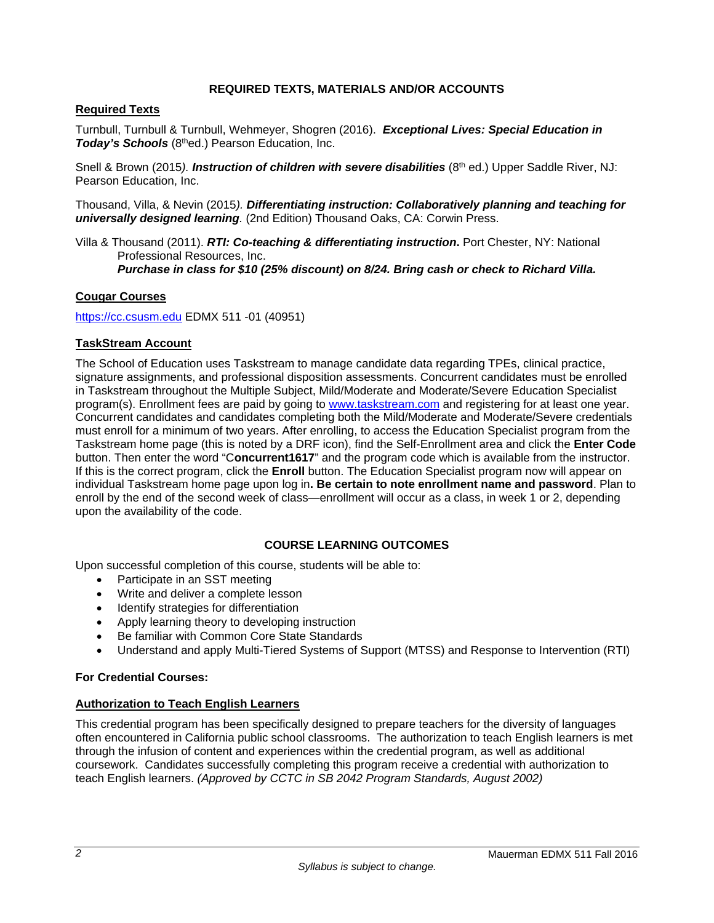# **REQUIRED TEXTS, MATERIALS AND/OR ACCOUNTS**

# **Required Texts**

Turnbull, Turnbull & Turnbull, Wehmeyer, Shogren (2016). *Exceptional Lives: Special Education in*  **Today's Schools** (8thed.) Pearson Education, Inc.

Snell & Brown (2015). *Instruction of children with severe disabilities* (8<sup>th</sup> ed.) Upper Saddle River. NJ: Pearson Education, Inc.

Thousand, Villa, & Nevin (2015*). Differentiating instruction: Collaboratively planning and teaching for universally designed learning.* (2nd Edition) Thousand Oaks, CA: Corwin Press.

Villa & Thousand (2011). *RTI: Co-teaching & differentiating instruction***.** Port Chester, NY: National Professional Resources, Inc. *Purchase in class for \$10 (25% discount) on 8/24. Bring cash or check to Richard Villa.*

# **Cougar Courses**

https://cc.csusm.edu EDMX 511 -01 (40951)

# **TaskStream Account**

The School of Education uses Taskstream to manage candidate data regarding TPEs, clinical practice, signature assignments, and professional disposition assessments. Concurrent candidates must be enrolled in Taskstream throughout the Multiple Subject, Mild/Moderate and Moderate/Severe Education Specialist program(s). Enrollment fees are paid by going to www.taskstream.com and registering for at least one year. Concurrent candidates and candidates completing both the Mild/Moderate and Moderate/Severe credentials must enroll for a minimum of two years. After enrolling, to access the Education Specialist program from the Taskstream home page (this is noted by a DRF icon), find the Self-Enrollment area and click the **Enter Code** button. Then enter the word "C**oncurrent1617**" and the program code which is available from the instructor. If this is the correct program, click the **Enroll** button. The Education Specialist program now will appear on individual Taskstream home page upon log in**. Be certain to note enrollment name and password**. Plan to enroll by the end of the second week of class—enrollment will occur as a class, in week 1 or 2, depending upon the availability of the code.

# **COURSE LEARNING OUTCOMES**

Upon successful completion of this course, students will be able to:

- Participate in an SST meeting
- Write and deliver a complete lesson
- Identify strategies for differentiation
- Apply learning theory to developing instruction
- Be familiar with Common Core State Standards
- Understand and apply Multi-Tiered Systems of Support (MTSS) and Response to Intervention (RTI)

### **For Credential Courses:**

### **Authorization to Teach English Learners**

This credential program has been specifically designed to prepare teachers for the diversity of languages often encountered in California public school classrooms. The authorization to teach English learners is met through the infusion of content and experiences within the credential program, as well as additional coursework. Candidates successfully completing this program receive a credential with authorization to teach English learners. *(Approved by CCTC in SB 2042 Program Standards, August 2002)*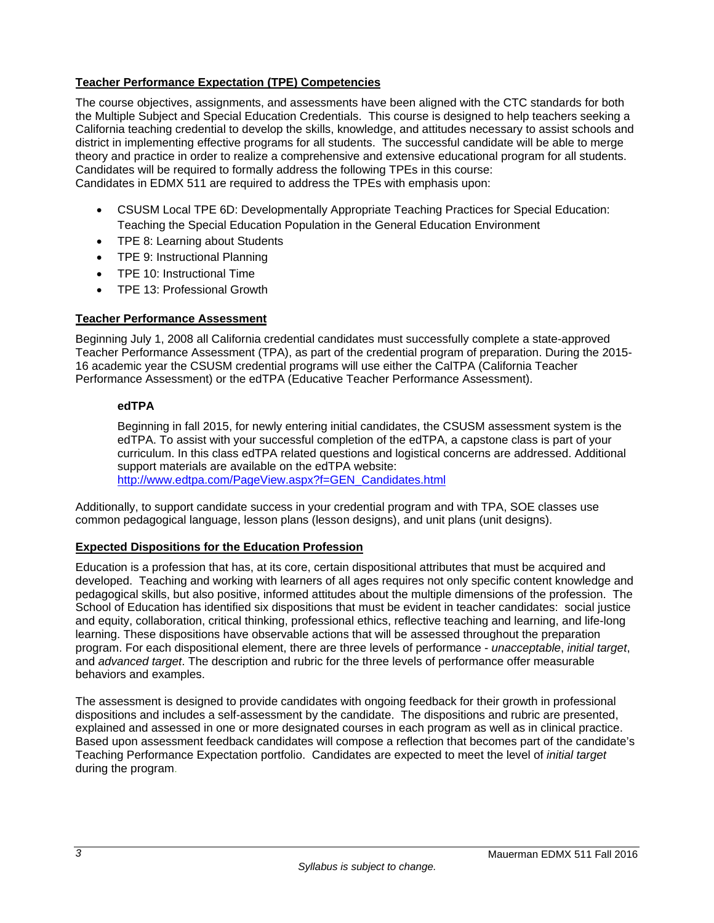# **Teacher Performance Expectation (TPE) Competencies**

The course objectives, assignments, and assessments have been aligned with the CTC standards for both the Multiple Subject and Special Education Credentials. This course is designed to help teachers seeking a California teaching credential to develop the skills, knowledge, and attitudes necessary to assist schools and district in implementing effective programs for all students. The successful candidate will be able to merge theory and practice in order to realize a comprehensive and extensive educational program for all students. Candidates will be required to formally address the following TPEs in this course: Candidates in EDMX 511 are required to address the TPEs with emphasis upon:

- CSUSM Local TPE 6D: Developmentally Appropriate Teaching Practices for Special Education: Teaching the Special Education Population in the General Education Environment
- TPE 8: Learning about Students
- TPE 9: Instructional Planning
- TPE 10: Instructional Time
- TPE 13: Professional Growth

### **Teacher Performance Assessment**

Beginning July 1, 2008 all California credential candidates must successfully complete a state-approved Teacher Performance Assessment (TPA), as part of the credential program of preparation. During the 2015- 16 academic year the CSUSM credential programs will use either the CalTPA (California Teacher Performance Assessment) or the edTPA (Educative Teacher Performance Assessment).

### **edTPA**

Beginning in fall 2015, for newly entering initial candidates, the CSUSM assessment system is the edTPA. To assist with your successful completion of the edTPA, a capstone class is part of your curriculum. In this class edTPA related questions and logistical concerns are addressed. Additional support materials are available on the edTPA website: http://www.edtpa.com/PageView.aspx?f=GEN\_Candidates.html

Additionally, to support candidate success in your credential program and with TPA, SOE classes use common pedagogical language, lesson plans (lesson designs), and unit plans (unit designs).

# **Expected Dispositions for the Education Profession**

Education is a profession that has, at its core, certain dispositional attributes that must be acquired and developed. Teaching and working with learners of all ages requires not only specific content knowledge and pedagogical skills, but also positive, informed attitudes about the multiple dimensions of the profession. The School of Education has identified six dispositions that must be evident in teacher candidates: social justice and equity, collaboration, critical thinking, professional ethics, reflective teaching and learning, and life-long learning. These dispositions have observable actions that will be assessed throughout the preparation program. For each dispositional element, there are three levels of performance - *unacceptable*, *initial target*, and *advanced target*. The description and rubric for the three levels of performance offer measurable behaviors and examples.

The assessment is designed to provide candidates with ongoing feedback for their growth in professional dispositions and includes a self-assessment by the candidate. The dispositions and rubric are presented, explained and assessed in one or more designated courses in each program as well as in clinical practice. Based upon assessment feedback candidates will compose a reflection that becomes part of the candidate's Teaching Performance Expectation portfolio. Candidates are expected to meet the level of *initial target* during the program.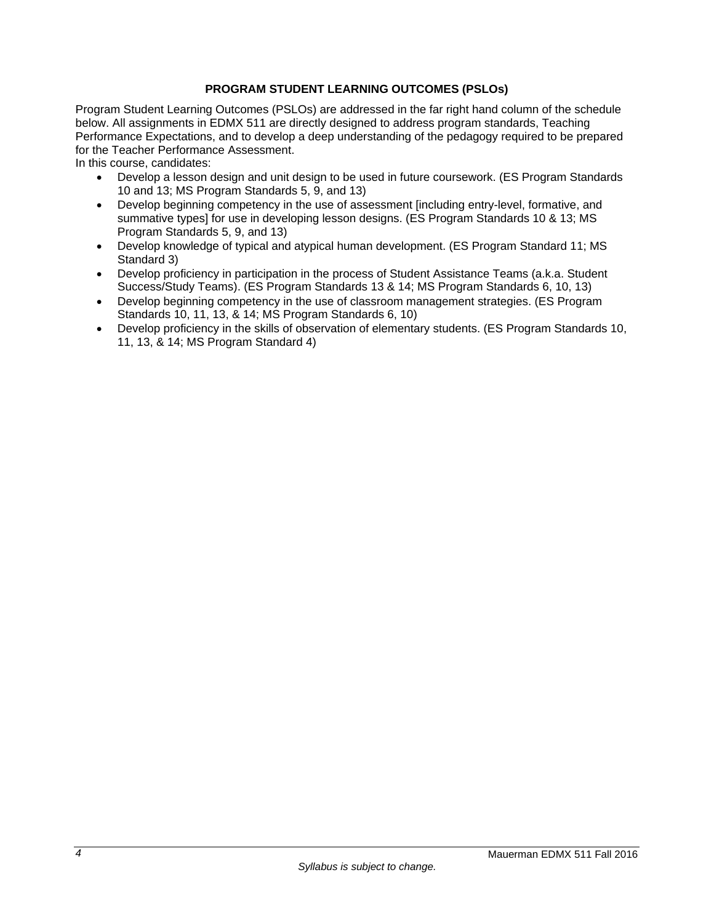# **PROGRAM STUDENT LEARNING OUTCOMES (PSLOs)**

Program Student Learning Outcomes (PSLOs) are addressed in the far right hand column of the schedule below. All assignments in EDMX 511 are directly designed to address program standards, Teaching Performance Expectations, and to develop a deep understanding of the pedagogy required to be prepared for the Teacher Performance Assessment.

In this course, candidates:

- Develop a lesson design and unit design to be used in future coursework. (ES Program Standards 10 and 13; MS Program Standards 5, 9, and 13)
- Develop beginning competency in the use of assessment [including entry-level, formative, and summative types] for use in developing lesson designs. (ES Program Standards 10 & 13; MS Program Standards 5, 9, and 13)
- Develop knowledge of typical and atypical human development. (ES Program Standard 11; MS Standard 3)
- Develop proficiency in participation in the process of Student Assistance Teams (a.k.a. Student Success/Study Teams). (ES Program Standards 13 & 14; MS Program Standards 6, 10, 13)
- Develop beginning competency in the use of classroom management strategies. (ES Program Standards 10, 11, 13, & 14; MS Program Standards 6, 10)
- Develop proficiency in the skills of observation of elementary students. (ES Program Standards 10, 11, 13, & 14; MS Program Standard 4)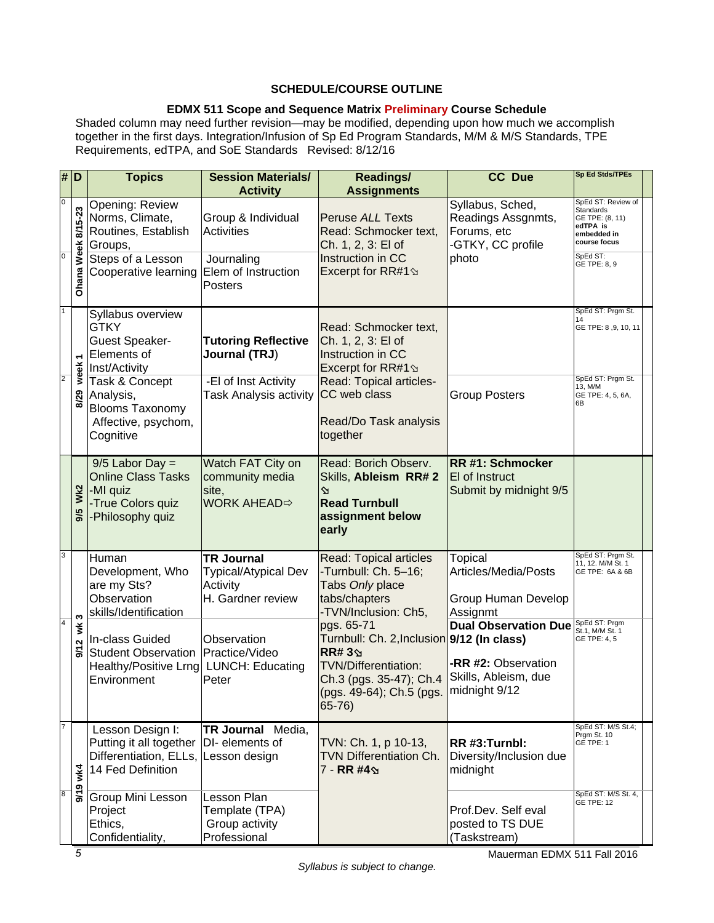# **SCHEDULE/COURSE OUTLINE**

# **EDMX 511 Scope and Sequence Matrix Preliminary Course Schedule**

Shaded column may need further revision—may be modified, depending upon how much we accomplish together in the first days. Integration/Infusion of Sp Ed Program Standards, M/M & M/S Standards, TPE Requirements, edTPA, and SoE Standards Revised: 8/12/16

|                                                    | # D                       | <b>Topics</b>                                                                                       | <b>Session Materials/</b><br><b>Activity</b>                               | <b>Readings/</b><br><b>Assignments</b>                                                                                                                                                                                                                                                                 | <b>CC Due</b>                                                              | <b>Sp Ed Stds/TPEs</b>                                                                                           |  |
|----------------------------------------------------|---------------------------|-----------------------------------------------------------------------------------------------------|----------------------------------------------------------------------------|--------------------------------------------------------------------------------------------------------------------------------------------------------------------------------------------------------------------------------------------------------------------------------------------------------|----------------------------------------------------------------------------|------------------------------------------------------------------------------------------------------------------|--|
| $\overline{\mathbf{0}}$<br>$\overline{\mathbf{0}}$ | 8/15-23<br>Week           | Opening: Review<br>Norms, Climate,<br>Routines, Establish<br>Groups,                                | Group & Individual<br><b>Activities</b>                                    | <b>Peruse ALL Texts</b><br>Read: Schmocker text,<br>Ch. 1, 2, 3: El of                                                                                                                                                                                                                                 | Syllabus, Sched,<br>Readings Assgnmts,<br>Forums, etc<br>-GTKY, CC profile | SpEd ST: Review of<br><b>Standards</b><br>GE TPE: (8, 11)<br>edTPA is<br>embedded in<br>course focus<br>SpEd ST: |  |
|                                                    | Ohana                     | Steps of a Lesson<br>Cooperative learning                                                           | Journaling<br>Elem of Instruction<br><b>Posters</b>                        | Instruction in CC<br>Excerpt for RR#1 $\Im$                                                                                                                                                                                                                                                            | photo                                                                      | GE TPE: 8, 9                                                                                                     |  |
| $\mathbf{1}$<br>$\overline{2}$                     | ٣                         | Syllabus overview<br><b>GTKY</b><br><b>Guest Speaker-</b><br><b>Elements of</b><br>Inst/Activity    | <b>Tutoring Reflective</b><br>Journal (TRJ)                                | Read: Schmocker text,<br>Ch. 1, 2, 3: El of<br>Instruction in CC<br>Excerpt for RR#1 $\Im$                                                                                                                                                                                                             |                                                                            | SpEd ST: Prgm St.<br>GE TPE: 8, 9, 10, 11                                                                        |  |
|                                                    | week <sup>-</sup><br>8/29 | Task & Concept<br>Analysis,<br><b>Blooms Taxonomy</b><br>Affective, psychom,<br>Cognitive           | -El of Inst Activity<br><b>Task Analysis activity</b>                      | Read: Topical articles-<br>CC web class<br>Read/Do Task analysis<br>together                                                                                                                                                                                                                           | <b>Group Posters</b>                                                       | SpEd ST: Prgm St.<br>13, M/M<br>GE TPE: 4, 5, 6A,<br>6B                                                          |  |
|                                                    | Wk2<br>9/5                | $9/5$ Labor Day =<br><b>Online Class Tasks</b><br>-MI quiz<br>-True Colors quiz<br>-Philosophy quiz | Watch FAT City on<br>community media<br>site,<br><b>WORK AHEAD</b> $⇒$     | Read: Borich Observ.<br>Skills, Ableism RR# 2<br>$\Delta$<br><b>Read Turnbull</b><br>assignment below<br>early                                                                                                                                                                                         | RR #1: Schmocker<br>El of Instruct<br>Submit by midnight 9/5               |                                                                                                                  |  |
| 3<br>$\overline{4}$                                |                           | Human<br>Development, Who<br>are my Sts?<br>Observation<br>skills/Identification                    | <b>TR Journal</b><br>Typical/Atypical Dev<br>Activity<br>H. Gardner review | Read: Topical articles<br>-Turnbull: Ch. 5-16;<br>Tabs Only place<br>tabs/chapters<br>-TVN/Inclusion: Ch5,<br>pgs. 65-71<br>Turnbull: Ch. 2, Inclusion 9/12 (In class)<br><b>RR#3</b><br><b>TVN/Differentiation:</b><br>Ch.3 (pgs. 35-47); Ch.4<br>(pgs. 49-64); Ch.5 (pgs. midnight 9/12<br>$65 - 76$ | Topical<br>Articles/Media/Posts<br>Group Human Develop<br>Assignmt         | SpEd ST: Prgm St.<br>11, 12. M/M St. 1<br>GE TPE: 6A & 6B                                                        |  |
|                                                    | ω<br>ž<br>9/12            | In-class Guided<br>Student Observation<br>Healthy/Positive Lrng<br>Environment                      | Observation<br>Practice/Video<br><b>LUNCH: Educating</b><br>Peter          |                                                                                                                                                                                                                                                                                                        | <b>Dual Observation Due</b><br>-RR #2: Observation<br>Skills, Ableism, due | SpEd ST: Prgm<br>St.1. M/M St. 1<br>GE TPE: 4, 5                                                                 |  |
|                                                    | wk4                       | Lesson Design I:<br>Putting it all together<br>Differentiation, ELLs,<br>14 Fed Definition          | TR Journal Media,<br>DI- elements of<br>Lesson design                      | TVN: Ch. 1, p 10-13,<br>TVN Differentiation Ch.<br>7 - RR #49                                                                                                                                                                                                                                          | RR #3:Turnbl:<br>Diversity/Inclusion due<br>midnight                       | SpEd ST: M/S St.4;<br>Prgm St. 10<br>GE TPE: 1                                                                   |  |
| $\overline{8}$                                     | 9/19                      | Group Mini Lesson<br>Project<br>Ethics,<br>Confidentiality,                                         | Lesson Plan<br>Template (TPA)<br>Group activity<br>Professional            |                                                                                                                                                                                                                                                                                                        | Prof.Dev. Self eval<br>posted to TS DUE<br>(Taskstream)                    | SpEd ST: M/S St. 4,<br><b>GE TPE: 12</b>                                                                         |  |

Mauerman EDMX 511 Fall 2016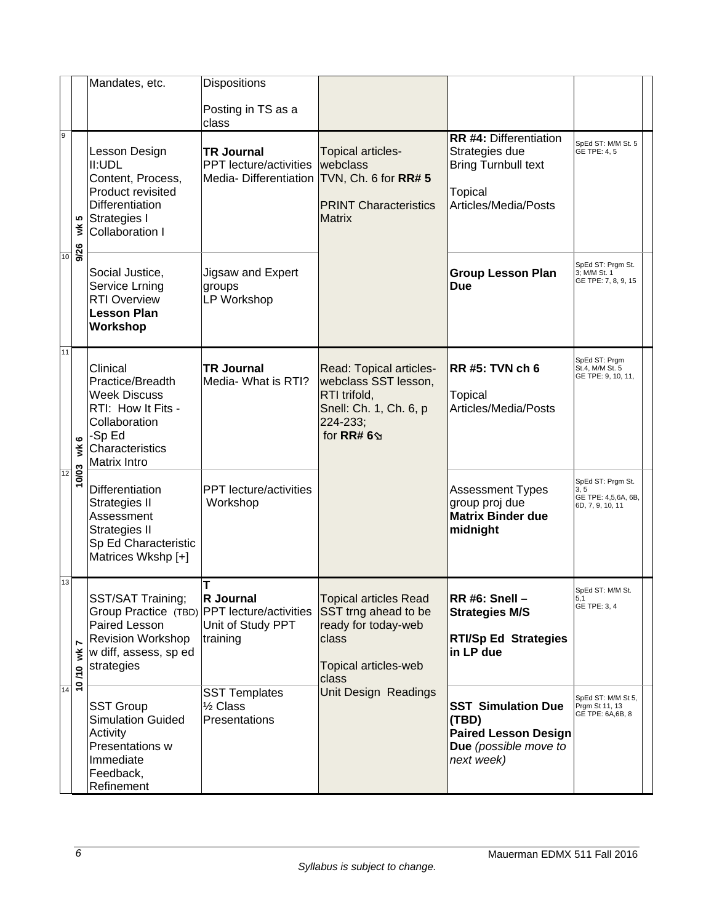|         |                 | Mandates, etc.                                                                                                                                       | Dispositions                                                                |                                                                                                                        |                                                                                                                         |                                                                      |
|---------|-----------------|------------------------------------------------------------------------------------------------------------------------------------------------------|-----------------------------------------------------------------------------|------------------------------------------------------------------------------------------------------------------------|-------------------------------------------------------------------------------------------------------------------------|----------------------------------------------------------------------|
|         |                 |                                                                                                                                                      | Posting in TS as a<br>class                                                 |                                                                                                                        |                                                                                                                         |                                                                      |
| 9<br>10 | ທ<br>š          | Lesson Design<br>II:UDL<br>Content, Process,<br>Product revisited<br><b>Differentiation</b><br>Strategies I<br><b>Collaboration I</b>                | <b>TR Journal</b><br><b>PPT</b> lecture/activities<br>Media-Differentiation | Topical articles-<br>webclass<br>TVN, Ch. 6 for RR# 5<br><b>PRINT Characteristics</b><br><b>Matrix</b>                 | <b>RR #4: Differentiation</b><br>Strategies due<br><b>Bring Turnbull text</b><br><b>Topical</b><br>Articles/Media/Posts | SpEd ST: M/M St. 5<br>GE TPE: 4, 5                                   |
|         | 9/26            | Social Justice,<br>Service Lrning<br><b>RTI Overview</b><br><b>Lesson Plan</b><br>Workshop                                                           | Jigsaw and Expert<br>groups<br>LP Workshop                                  |                                                                                                                        | <b>Group Lesson Plan</b><br><b>Due</b>                                                                                  | SpEd ST: Prgm St.<br>3; M/M St. 1<br>GE TPE: 7, 8, 9, 15             |
| 11      | $\bullet$<br>ž  | Clinical<br>Practice/Breadth<br><b>Week Discuss</b><br>RTI: How It Fits -<br>Collaboration<br>-Sp Ed<br>Characteristics<br>Matrix Intro              | <b>TR Journal</b><br>Media- What is RTI?                                    | Read: Topical articles-<br>webclass SST lesson,<br>RTI trifold,<br>Snell: Ch. 1, Ch. 6, p<br>224-233;<br>for RR# $6\%$ | RR #5: TVN ch 6<br>Topical<br>Articles/Media/Posts                                                                      | SpEd ST: Prgm<br>St.4, M/M St. 5<br>GE TPE: 9, 10, 11,               |
| 12      | 10/03           | <b>Differentiation</b><br><b>Strategies II</b><br>Assessment<br>Strategies II<br>Sp Ed Characteristic<br>Matrices Wkshp [+]                          | <b>PPT</b> lecture/activities<br>Workshop                                   |                                                                                                                        | <b>Assessment Types</b><br>group proj due<br><b>Matrix Binder due</b><br>midnight                                       | SpEd ST: Prgm St.<br>3, 5<br>GE TPE: 4,5,6A, 6B,<br>6D, 7, 9, 10, 11 |
| 13      | Ľ<br>₹<br>10/10 | SST/SAT Training;<br>Group Practice (TBD) PPT lecture/activities<br>Paired Lesson<br><b>Revision Workshop</b><br>w diff, assess, sp ed<br>strategies | Т<br>R Journal<br>Unit of Study PPT<br>training                             | Topical articles Read<br>SST trng ahead to be<br>ready for today-web<br>class<br>Topical articles-web<br>class         | ∣RR #6: Snell –<br><b>Strategies M/S</b><br><b>RTI/Sp Ed Strategies</b><br>in LP due                                    | SpEd ST: M/M St.<br>5,1<br>GE TPE: 3, 4                              |
| 14      |                 | <b>SST Group</b><br><b>Simulation Guided</b><br>Activity<br>Presentations w<br>Immediate<br>Feedback,<br>Refinement                                  | <b>SST Templates</b><br>1/ <sub>2</sub> Class<br>Presentations              | Unit Design Readings                                                                                                   | <b>SST Simulation Due</b><br>(TBD)<br><b>Paired Lesson Design</b><br>Due (possible move to<br>next week)                | SpEd ST: M/M St 5,<br>Prgm St 11, 13<br>GE TPE: 6A,6B, 8             |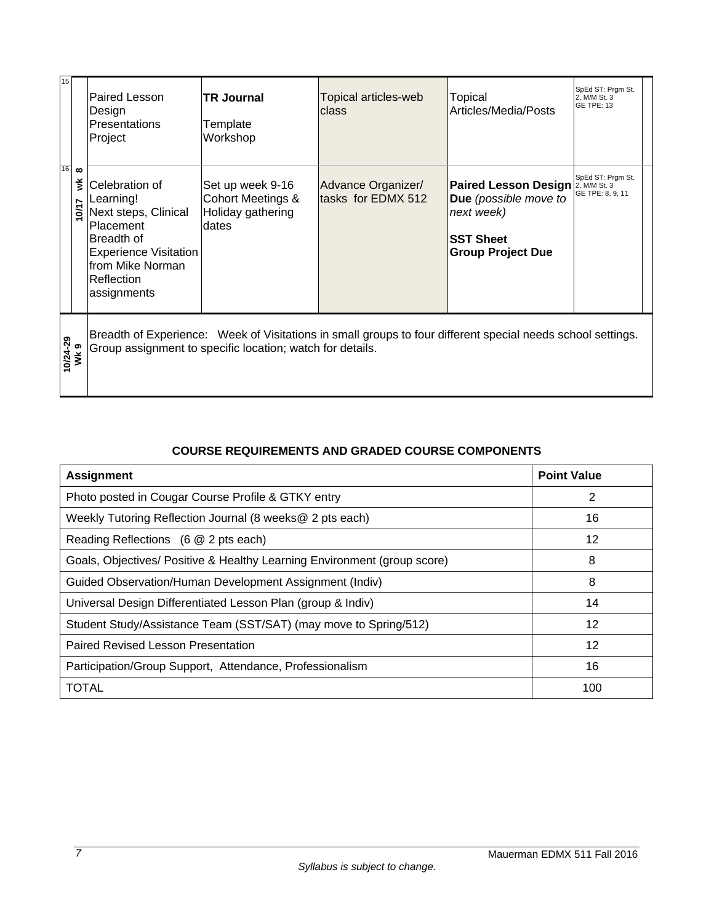| 15               | $16$ $\infty$<br>⋚<br><b>D/17</b> | <b>Paired Lesson</b><br>Design<br>Presentations<br>Project                                                                                                               | <b>TR Journal</b><br>Template<br>Workshop                           | Topical articles-web<br>Iclass           | Topical<br>Articles/Media/Posts                                                                                    | SpEd ST: Prgm St.<br>2, M/M St. 3<br><b>GE TPE: 13</b> |  |
|------------------|-----------------------------------|--------------------------------------------------------------------------------------------------------------------------------------------------------------------------|---------------------------------------------------------------------|------------------------------------------|--------------------------------------------------------------------------------------------------------------------|--------------------------------------------------------|--|
|                  |                                   | Celebration of<br>Learning!<br>Next steps, Clinical<br>Placement<br>Breadth of<br><b>Experience Visitation</b><br>lfrom Mike Norman<br>Reflection<br>assignments         | Set up week 9-16<br>Cohort Meetings &<br>Holiday gathering<br>dates | Advance Organizer/<br>tasks for EDMX 512 | <b>Paired Lesson Design</b><br>Due (possible move to<br>next week)<br><b>SST Sheet</b><br><b>Group Project Due</b> | SpEd ST: Prgm St.<br>2, M/M St. 3<br>GE TPE: 8, 9, 11  |  |
| 10/24-29<br>Wk 9 |                                   | Breadth of Experience: Week of Visitations in small groups to four different special needs school settings.<br>Group assignment to specific location; watch for details. |                                                                     |                                          |                                                                                                                    |                                                        |  |

# **COURSE REQUIREMENTS AND GRADED COURSE COMPONENTS**

| <b>Assignment</b>                                                        | <b>Point Value</b> |
|--------------------------------------------------------------------------|--------------------|
| Photo posted in Cougar Course Profile & GTKY entry                       | 2                  |
| Weekly Tutoring Reflection Journal (8 weeks@ 2 pts each)                 | 16                 |
| Reading Reflections (6 @ 2 pts each)                                     | 12                 |
| Goals, Objectives/ Positive & Healthy Learning Environment (group score) | 8                  |
| Guided Observation/Human Development Assignment (Indiv)                  | 8                  |
| Universal Design Differentiated Lesson Plan (group & Indiv)              | 14                 |
| Student Study/Assistance Team (SST/SAT) (may move to Spring/512)         | 12                 |
| Paired Revised Lesson Presentation                                       | 12                 |
| Participation/Group Support, Attendance, Professionalism                 | 16                 |
| <b>TOTAL</b>                                                             | 100                |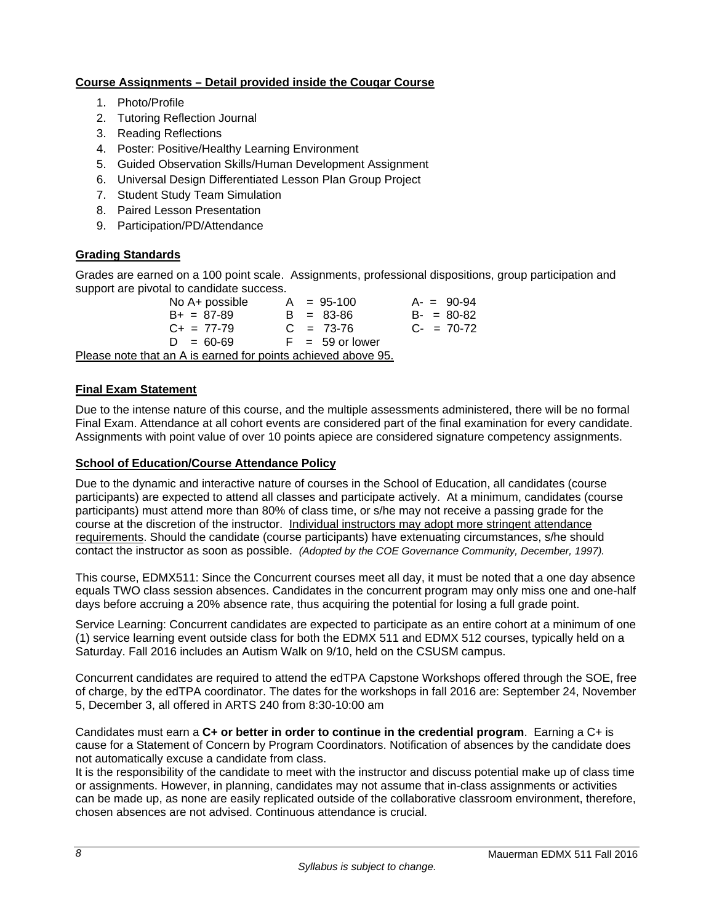# **Course Assignments – Detail provided inside the Cougar Course**

- 1. Photo/Profile
- 2. Tutoring Reflection Journal
- 3. Reading Reflections
- 4. Poster: Positive/Healthy Learning Environment
- 5. Guided Observation Skills/Human Development Assignment
- 6. Universal Design Differentiated Lesson Plan Group Project
- 7. Student Study Team Simulation
- 8. Paired Lesson Presentation
- 9. Participation/PD/Attendance

# **Grading Standards**

Grades are earned on a 100 point scale. Assignments, professional dispositions, group participation and support are pivotal to candidate success.

No A+ possible  $A = 95-100$   $A = 90-94$ <br>B + = 87-89  $B = 83-86$   $B = 80-82$  $B+ = 87-89$  B = 83-86  $C_+ = 77-79$   $C_+ = 73-76$   $C_- = 70-72$  $D = 60-69$  F = 59 or lower Please note that an A is earned for points achieved above 95.

# **Final Exam Statement**

Due to the intense nature of this course, and the multiple assessments administered, there will be no formal Final Exam. Attendance at all cohort events are considered part of the final examination for every candidate. Assignments with point value of over 10 points apiece are considered signature competency assignments.

### **School of Education/Course Attendance Policy**

Due to the dynamic and interactive nature of courses in the School of Education, all candidates (course participants) are expected to attend all classes and participate actively. At a minimum, candidates (course participants) must attend more than 80% of class time, or s/he may not receive a passing grade for the course at the discretion of the instructor. Individual instructors may adopt more stringent attendance requirements. Should the candidate (course participants) have extenuating circumstances, s/he should contact the instructor as soon as possible. *(Adopted by the COE Governance Community, December, 1997).*

This course, EDMX511: Since the Concurrent courses meet all day, it must be noted that a one day absence equals TWO class session absences. Candidates in the concurrent program may only miss one and one-half days before accruing a 20% absence rate, thus acquiring the potential for losing a full grade point.

Service Learning: Concurrent candidates are expected to participate as an entire cohort at a minimum of one (1) service learning event outside class for both the EDMX 511 and EDMX 512 courses, typically held on a Saturday. Fall 2016 includes an Autism Walk on 9/10, held on the CSUSM campus.

Concurrent candidates are required to attend the edTPA Capstone Workshops offered through the SOE, free of charge, by the edTPA coordinator. The dates for the workshops in fall 2016 are: September 24, November 5, December 3, all offered in ARTS 240 from 8:30-10:00 am

Candidates must earn a **C+ or better in order to continue in the credential program**. Earning a C+ is cause for a Statement of Concern by Program Coordinators. Notification of absences by the candidate does not automatically excuse a candidate from class.

It is the responsibility of the candidate to meet with the instructor and discuss potential make up of class time or assignments. However, in planning, candidates may not assume that in-class assignments or activities can be made up, as none are easily replicated outside of the collaborative classroom environment, therefore, chosen absences are not advised. Continuous attendance is crucial.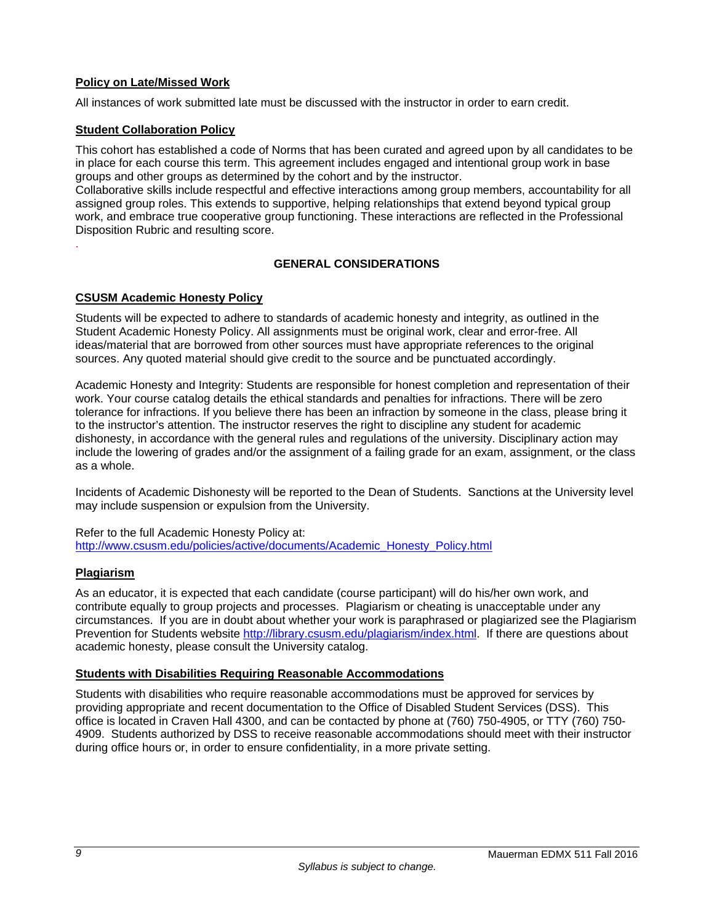# **Policy on Late/Missed Work**

All instances of work submitted late must be discussed with the instructor in order to earn credit.

# **Student Collaboration Policy**

This cohort has established a code of Norms that has been curated and agreed upon by all candidates to be in place for each course this term. This agreement includes engaged and intentional group work in base groups and other groups as determined by the cohort and by the instructor.

Collaborative skills include respectful and effective interactions among group members, accountability for all assigned group roles. This extends to supportive, helping relationships that extend beyond typical group work, and embrace true cooperative group functioning. These interactions are reflected in the Professional Disposition Rubric and resulting score.

# **GENERAL CONSIDERATIONS**

### **CSUSM Academic Honesty Policy**

Students will be expected to adhere to standards of academic honesty and integrity, as outlined in the Student Academic Honesty Policy. All assignments must be original work, clear and error-free. All ideas/material that are borrowed from other sources must have appropriate references to the original sources. Any quoted material should give credit to the source and be punctuated accordingly.

Academic Honesty and Integrity: Students are responsible for honest completion and representation of their work. Your course catalog details the ethical standards and penalties for infractions. There will be zero tolerance for infractions. If you believe there has been an infraction by someone in the class, please bring it to the instructor's attention. The instructor reserves the right to discipline any student for academic dishonesty, in accordance with the general rules and regulations of the university. Disciplinary action may include the lowering of grades and/or the assignment of a failing grade for an exam, assignment, or the class as a whole.

Incidents of Academic Dishonesty will be reported to the Dean of Students. Sanctions at the University level may include suspension or expulsion from the University.

Refer to the full Academic Honesty Policy at: http://www.csusm.edu/policies/active/documents/Academic\_Honesty\_Policy.html

### **Plagiarism**

.

As an educator, it is expected that each candidate (course participant) will do his/her own work, and contribute equally to group projects and processes. Plagiarism or cheating is unacceptable under any circumstances. If you are in doubt about whether your work is paraphrased or plagiarized see the Plagiarism Prevention for Students website http://library.csusm.edu/plagiarism/index.html. If there are questions about academic honesty, please consult the University catalog.

### **Students with Disabilities Requiring Reasonable Accommodations**

Students with disabilities who require reasonable accommodations must be approved for services by providing appropriate and recent documentation to the Office of Disabled Student Services (DSS). This office is located in Craven Hall 4300, and can be contacted by phone at (760) 750-4905, or TTY (760) 750- 4909. Students authorized by DSS to receive reasonable accommodations should meet with their instructor during office hours or, in order to ensure confidentiality, in a more private setting.